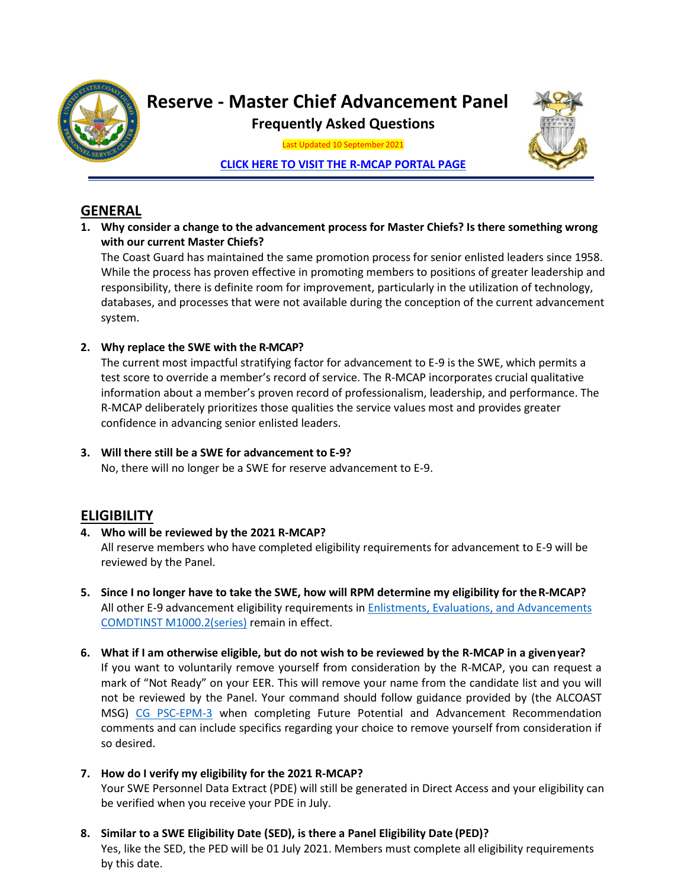

# **Reserve - Master Chief Advancement Panel**

**Frequently Asked Questions**

Last Updated 10 September 2021

**[CLICK HERE TO VISIT THE R-MCAP](https://cg.portal.uscg.mil/units/psc/psc-rpm/RPM1/RPM1/Forms/AllItems.aspx) PORTAL PAGE**

# **GENERAL**

**1. Why consider a change to the advancement process for Master Chiefs? Is there something wrong with our current Master Chiefs?**

The Coast Guard has maintained the same promotion process for senior enlisted leaders since 1958. While the process has proven effective in promoting members to positions of greater leadership and responsibility, there is definite room for improvement, particularly in the utilization of technology, databases, and processes that were not available during the conception of the current advancement system.

## **2. Why replace the SWE with the R-MCAP?**

The current most impactful stratifying factor for advancement to E-9 is the SWE, which permits a test score to override a member's record of service. The R-MCAP incorporates crucial qualitative information about a member's proven record of professionalism, leadership, and performance. The R-MCAP deliberately prioritizes those qualities the service values most and provides greater confidence in advancing senior enlisted leaders.

**3. Will there still be a SWE for advancement to E-9?** No, there will no longer be a SWE for reserve advancement to E-9.

# **ELIGIBILITY**

**4. Who will be reviewed by the 2021 R-MCAP?**

All reserve members who have completed eligibility requirements for advancement to E-9 will be reviewed by the Panel.

- **5. Since I no longer have to take the SWE, how will RPM determine my eligibility for theR-MCAP?** All other E-9 advancement eligibility requirements in [Enlistments, Evaluations, and Advancements](https://cg.portal.uscg.mil/sites/externaldata/Directives/CIM_1000_2B.pdf) [COMDTINST M1000.2\(series\)](https://cg.portal.uscg.mil/sites/externaldata/Directives/CIM_1000_2B.pdf) remain in effect.
- **6. What if I am otherwise eligible, but do not wish to be reviewed by the R-MCAP in a givenyear?** If you want to voluntarily remove yourself from consideration by the R-MCAP, you can request a mark of "Not Ready" on your EER. This will remove your name from the candidate list and you will not be reviewed by the Panel. Your command should follow guidance provided by (the ALCOAST MSG) [CG PSC-EPM-3](https://cg.portal.uscg.mil/units/psc/psc-epm/SitePages/EPM-3.aspx) when completing Future Potential and Advancement Recommendation comments and can include specifics regarding your choice to remove yourself from consideration if so desired.
- **7. How do I verify my eligibility for the 2021 R-MCAP?** Your SWE Personnel Data Extract (PDE) will still be generated in Direct Access and your eligibility can be verified when you receive your PDE in July.
- **8. Similar to a SWE Eligibility Date (SED), is there a Panel Eligibility Date (PED)?** Yes, like the SED, the PED will be 01 July 2021. Members must complete all eligibility requirements by this date.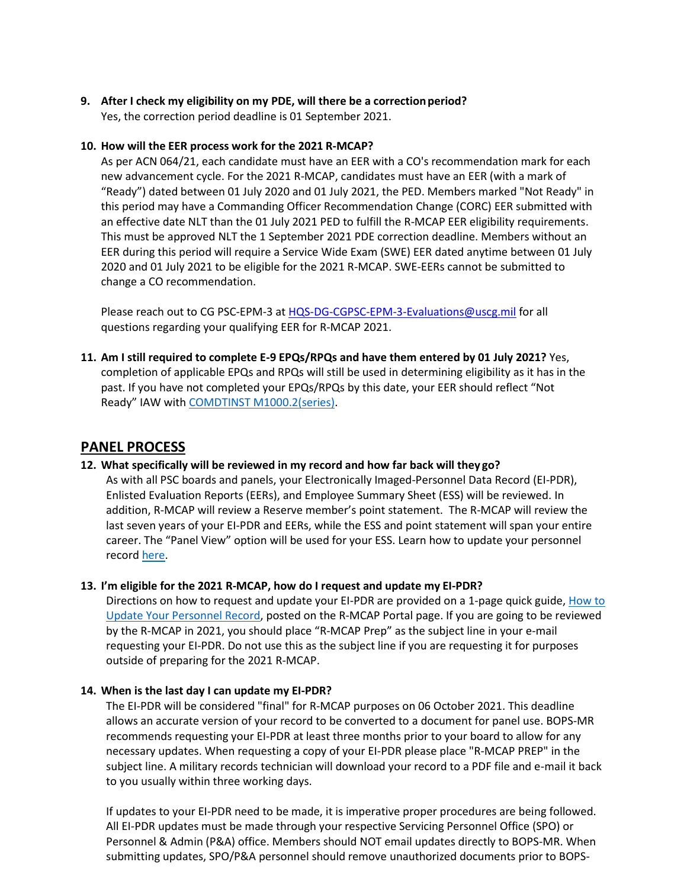# **9. After I check my eligibility on my PDE, will there be a correctionperiod?**

Yes, the correction period deadline is 01 September 2021.

#### **10. How will the EER process work for the 2021 R-MCAP?**

As per ACN 064/21, each candidate must have an EER with a CO's recommendation mark for each new advancement cycle. For the 2021 R-MCAP, candidates must have an EER (with a mark of "Ready") dated between 01 July 2020 and 01 July 2021, the PED. Members marked "Not Ready" in this period may have a Commanding Officer Recommendation Change (CORC) EER submitted with an effective date NLT than the 01 July 2021 PED to fulfill the R-MCAP EER eligibility requirements. This must be approved NLT the 1 September 2021 PDE correction deadline. Members without an EER during this period will require a Service Wide Exam (SWE) EER dated anytime between 01 July 2020 and 01 July 2021 to be eligible for the 2021 R-MCAP. SWE-EERs cannot be submitted to change a CO recommendation.

Please reach out to CG PSC-EPM-3 at [HQS-DG-CGPSC-EPM-3-Evaluations@uscg.mil](mailto:HQS-DG-CGPSC-EPM-3-Evaluations@uscg.mil) for all questions regarding your qualifying EER for R-MCAP 2021.

**11. Am I still required to complete E-9 EPQs/RPQs and have them entered by 01 July 2021?** Yes, completion of applicable EPQs and RPQs will still be used in determining eligibility as it has in the past. If you have not completed your EPQs/RPQs by this date, your EER should reflect "Not Ready" IAW with COMDTINST [M1000.2\(series\).](https://cg.portal.uscg.mil/sites/externaldata/Directives/CIM_1000_2B.pdf)

## **PANEL PROCESS**

#### **12. What specifically will be reviewed in my record and how far back will they go?**

As with all PSC boards and panels, your Electronically Imaged-Personnel Data Record (EI-PDR), Enlisted Evaluation Reports (EERs), and Employee Summary Sheet (ESS) will be reviewed. In addition, R-MCAP will review a Reserve member's point statement. The R-MCAP will review the last seven years of your EI-PDR and EERs, while the ESS and point statement will span your entire career. The "Panel View" option will be used for your ESS. Learn how to update your personnel recor[d here.](https://cg.portal.uscg.mil/units/psc/psc-epm/MCAP%20Document%20Library/How%20To%20Update%20Your%20Personnel%20Record.pdf)

#### **13. I'm eligible for the 2021 R-MCAP, how do I request and update my EI-PDR?**

Directions on how to request and update your EI-PDR are provided on a 1-page quick guide[, How to](https://cg.portal.uscg.mil/units/psc/psc-epm/MCAP%20Document%20Library/How%20To%20Update%20Your%20Personnel%20Record.pdf) [Update Your Personnel Record,](https://cg.portal.uscg.mil/units/psc/psc-epm/MCAP%20Document%20Library/How%20To%20Update%20Your%20Personnel%20Record.pdf) posted on the R-MCAP Portal page. If you are going to be reviewed by the R-MCAP in 2021, you should place "R-MCAP Prep" as the subject line in your e-mail requesting your EI-PDR. Do not use this as the subject line if you are requesting it for purposes outside of preparing for the 2021 R-MCAP.

#### **14. When is the last day I can update my EI-PDR?**

The EI-PDR will be considered "final" for R-MCAP purposes on 06 October 2021. This deadline allows an accurate version of your record to be converted to a document for panel use. BOPS-MR recommends requesting your EI-PDR at least three months prior to your board to allow for any necessary updates. When requesting a copy of your EI-PDR please place "R-MCAP PREP" in the subject line. A military records technician will download your record to a PDF file and e-mail it back to you usually within three working days.

If updates to your EI-PDR need to be made, it is imperative proper procedures are being followed. All EI-PDR updates must be made through your respective Servicing Personnel Office (SPO) or Personnel & Admin (P&A) office. Members should NOT email updates directly to BOPS-MR. When submitting updates, SPO/P&A personnel should remove unauthorized documents prior to BOPS-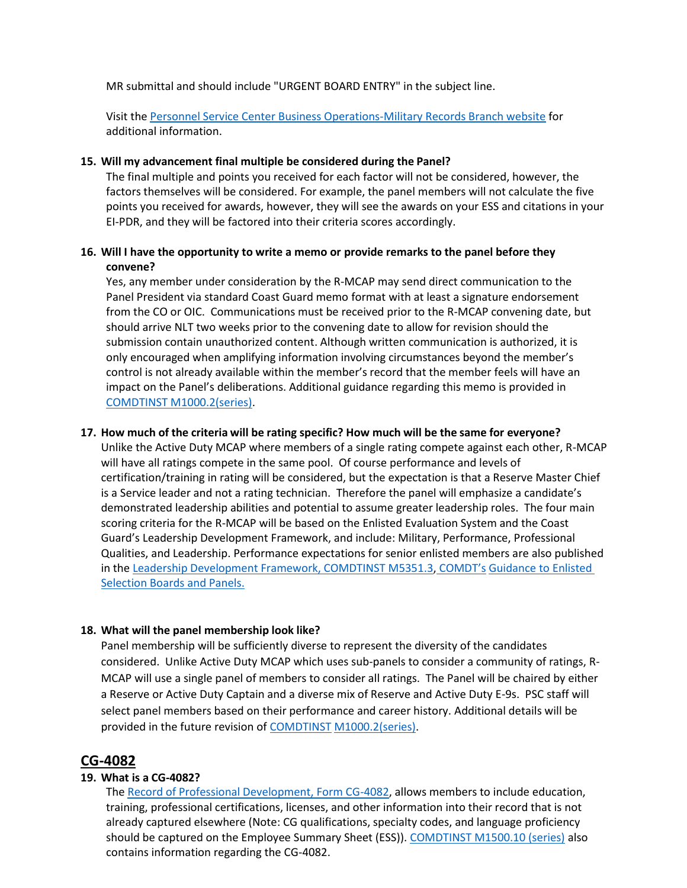MR submittal and should include "URGENT BOARD ENTRY" in the subject line.

Visit th[e Personnel Service Center Business Operations-Military Records Branch website](https://www.dcms.uscg.mil/Our-Organization/Assistant-Commandant-for-Human-Resources-CG-1/Personnel-Service-Center-PSC/BOPS/PSC-BOPS-C/PSC-BOPS-C-MR/PSC-BOPS-C-MR/) for additional information.

#### **15. Will my advancement final multiple be considered during the Panel?**

The final multiple and points you received for each factor will not be considered, however, the factors themselves will be considered. For example, the panel members will not calculate the five points you received for awards, however, they will see the awards on your ESS and citations in your EI-PDR, and they will be factored into their criteria scores accordingly.

#### **16. Will I have the opportunity to write a memo or provide remarks to the panel before they convene?**

Yes, any member under consideration by the R-MCAP may send direct communication to the Panel President via standard Coast Guard memo format with at least a signature endorsement from the CO or OIC. Communications must be received prior to the R-MCAP convening date, but should arrive NLT two weeks prior to the convening date to allow for revision should the submission contain unauthorized content. Although written communication is authorized, it is only encouraged when amplifying information involving circumstances beyond the member's control is not already available within the member's record that the member feels will have an impact on the Panel's deliberations. Additional guidance regarding this memo is provided in [COMDTINST M1000.2\(series\).](https://cg.portal.uscg.mil/sites/externaldata/Directives/CIM_1000_2B.pdf)

#### **17. How much of the criteria will be rating specific? How much will be the same for everyone?**

Unlike the Active Duty MCAP where members of a single rating compete against each other, R-MCAP will have all ratings compete in the same pool. Of course performance and levels of certification/training in rating will be considered, but the expectation is that a Reserve Master Chief is a Service leader and not a rating technician. Therefore the panel will emphasize a candidate's demonstrated leadership abilities and potential to assume greater leadership roles. The four main scoring criteria for the R-MCAP will be based on the Enlisted Evaluation System and the Coast Guard's Leadership Development Framework, and include: Military, Performance, Professional Qualities, and Leadership. Performance expectations for senior enlisted members are also published in the [Leadership Development Framework, COMDTINST M5351.3,](https://cg.portal.uscg.mil/sites/externaldata/Directives/CIM_5351_3.pdf) [COMDT's](https://cg.portal.uscg.mil/units/psc/psc-epm/MCAP%20Document%20Library/COMDT%27s%20Guidance%20to%20AY22%20Enlisted%20Selection%20Boards%20and%20Panels.pdf) Guidance to Enlisted [Selection Boards and Panels.](https://cg.portal.uscg.mil/units/psc/psc-epm/MCAP%20Document%20Library/COMDT%27s%20Guidance%20to%20AY22%20Enlisted%20Selection%20Boards%20and%20Panels.pdf)

#### **18. What will the panel membership look like?**

Panel membership will be sufficiently diverse to represent the diversity of the candidates considered. Unlike Active Duty MCAP which uses sub-panels to consider a community of ratings, R-MCAP will use a single panel of members to consider all ratings. The Panel will be chaired by either a Reserve or Active Duty Captain and a diverse mix of Reserve and Active Duty E-9s. PSC staff will select panel members based on their performance and career history. Additional details will be provided in the future revision o[f COMDTINST](https://cg.portal.uscg.mil/sites/externaldata/Directives/CIM_1000_2B.pdf) [M1000.2\(series\).](https://cg.portal.uscg.mil/sites/externaldata/Directives/CIM_1000_2B.pdf)

#### **CG-4082**

#### **19. What is a CG-4082?**

Th[e Record of Professional Development, Form CG-4082,](https://cg.portal.uscg.mil/sites/externaldata/Forms/CG_4082.PDF) allows members to include education, training, professional certifications, licenses, and other information into their record that is not already captured elsewhere (Note: CG qualifications, specialty codes, and language proficiency should be captured on the Employee Summary Sheet (ESS)). [COMDTINST M1500.10 \(series\)](https://cg.portal.uscg.mil/sites/externaldata/Directives/CIM_1500_10C.pdf) also contains information regarding the CG-4082.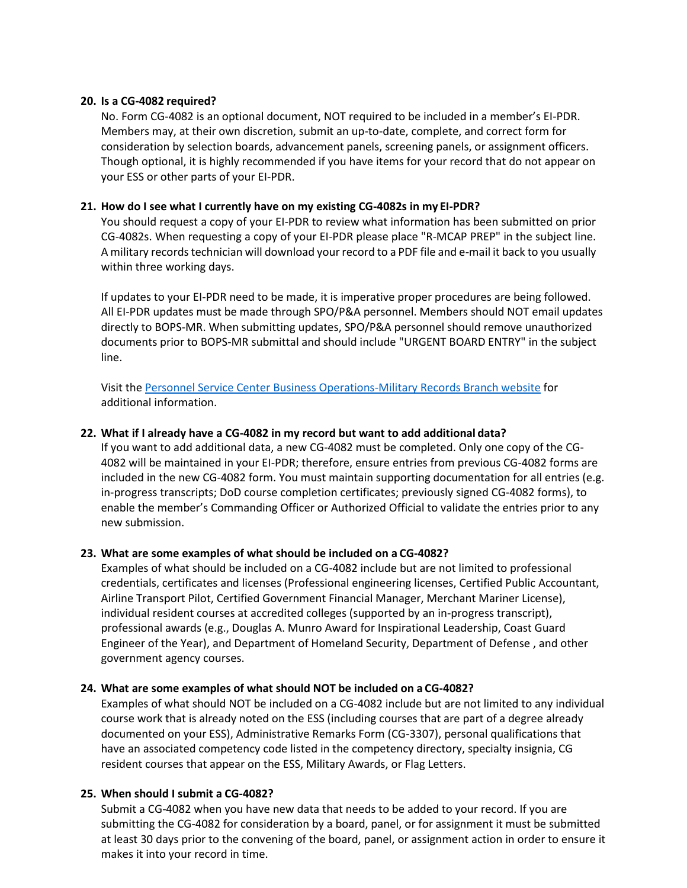#### **20. Is a CG-4082 required?**

No. Form CG-4082 is an optional document, NOT required to be included in a member's EI-PDR. Members may, at their own discretion, submit an up-to-date, complete, and correct form for consideration by selection boards, advancement panels, screening panels, or assignment officers. Though optional, it is highly recommended if you have items for your record that do not appear on your ESS or other parts of your EI-PDR.

#### **21. How do I see what I currently have on my existing CG-4082s in my EI-PDR?**

You should request a copy of your EI-PDR to review what information has been submitted on prior CG-4082s. When requesting a copy of your EI-PDR please place "R-MCAP PREP" in the subject line. A military records technician will download your record to a PDF file and e-mail it back to you usually within three working days.

If updates to your EI-PDR need to be made, it is imperative proper procedures are being followed. All EI-PDR updates must be made through SPO/P&A personnel. Members should NOT email updates directly to BOPS-MR. When submitting updates, SPO/P&A personnel should remove unauthorized documents prior to BOPS-MR submittal and should include "URGENT BOARD ENTRY" in the subject line.

Visit the [Personnel Service Center Business Operations-Military Records Branch website](https://www.dcms.uscg.mil/Our-Organization/Assistant-Commandant-for-Human-Resources-CG-1/Personnel-Service-Center-PSC/BOPS/PSC-BOPS-C/PSC-BOPS-C-MR/PSC-BOPS-C-MR/) for additional information.

#### **22. What if I already have a CG-4082 in my record but want to add additional data?**

If you want to add additional data, a new CG-4082 must be completed. Only one copy of the CG-4082 will be maintained in your EI-PDR; therefore, ensure entries from previous CG-4082 forms are included in the new CG-4082 form. You must maintain supporting documentation for all entries (e.g. in-progress transcripts; DoD course completion certificates; previously signed CG-4082 forms), to enable the member's Commanding Officer or Authorized Official to validate the entries prior to any new submission.

#### **23. What are some examples of what should be included on a CG-4082?**

Examples of what should be included on a CG-4082 include but are not limited to professional credentials, certificates and licenses (Professional engineering licenses, Certified Public Accountant, Airline Transport Pilot, Certified Government Financial Manager, Merchant Mariner License), individual resident courses at accredited colleges (supported by an in-progress transcript), professional awards (e.g., Douglas A. Munro Award for Inspirational Leadership, Coast Guard Engineer of the Year), and Department of Homeland Security, Department of Defense , and other government agency courses.

#### **24. What are some examples of what should NOT be included on a CG-4082?**

Examples of what should NOT be included on a CG-4082 include but are not limited to any individual course work that is already noted on the ESS (including courses that are part of a degree already documented on your ESS), Administrative Remarks Form (CG-3307), personal qualifications that have an associated competency code listed in the competency directory, specialty insignia, CG resident courses that appear on the ESS, Military Awards, or Flag Letters.

#### **25. When should I submit a CG-4082?**

Submit a CG-4082 when you have new data that needs to be added to your record. If you are submitting the CG-4082 for consideration by a board, panel, or for assignment it must be submitted at least 30 days prior to the convening of the board, panel, or assignment action in order to ensure it makes it into your record in time.